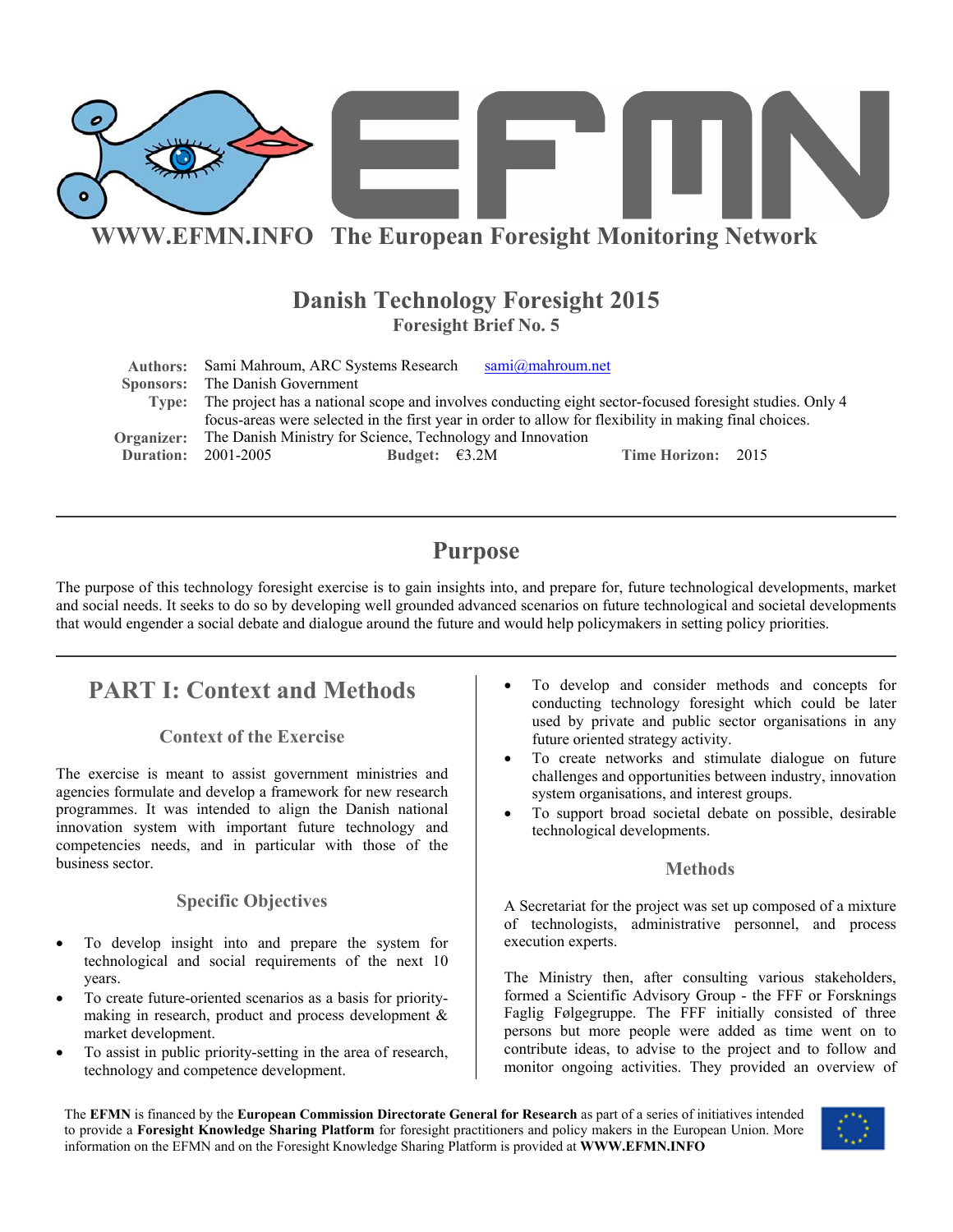

# **WWW.EFMN.INFO The European Foresight Monitoring Network**

# **Danish Technology Foresight 2015 Foresight Brief No. 5**

|            | Authors: Sami Mahroum, ARC Systems Research                                                                   |                         | sami@mahrown.net |                    |  |
|------------|---------------------------------------------------------------------------------------------------------------|-------------------------|------------------|--------------------|--|
|            | <b>Sponsors:</b> The Danish Government                                                                        |                         |                  |                    |  |
|            | Type: The project has a national scope and involves conducting eight sector-focused foresight studies. Only 4 |                         |                  |                    |  |
|            | focus-areas were selected in the first year in order to allow for flexibility in making final choices.        |                         |                  |                    |  |
| Organizer: | The Danish Ministry for Science, Technology and Innovation                                                    |                         |                  |                    |  |
|            | <b>Duration: 2001-2005</b>                                                                                    | Budget: $\epsilon$ 3.2M |                  | Time Horizon: 2015 |  |

# **Purpose**

The purpose of this technology foresight exercise is to gain insights into, and prepare for, future technological developments, market and social needs. It seeks to do so by developing well grounded advanced scenarios on future technological and societal developments that would engender a social debate and dialogue around the future and would help policymakers in setting policy priorities.

# **PART I: Context and Methods**

## **Context of the Exercise**

The exercise is meant to assist government ministries and agencies formulate and develop a framework for new research programmes. It was intended to align the Danish national innovation system with important future technology and competencies needs, and in particular with those of the business sector.

## **Specific Objectives**

- To develop insight into and prepare the system for technological and social requirements of the next 10 years.
- To create future-oriented scenarios as a basis for prioritymaking in research, product and process development & market development.
- To assist in public priority-setting in the area of research, technology and competence development.
- To develop and consider methods and concepts for conducting technology foresight which could be later used by private and public sector organisations in any future oriented strategy activity.
- To create networks and stimulate dialogue on future challenges and opportunities between industry, innovation system organisations, and interest groups.
- To support broad societal debate on possible, desirable technological developments.

## **Methods**

A Secretariat for the project was set up composed of a mixture of technologists, administrative personnel, and process execution experts.

The Ministry then, after consulting various stakeholders, formed a Scientific Advisory Group - the FFF or Forsknings Faglig Følgegruppe. The FFF initially consisted of three persons but more people were added as time went on to contribute ideas, to advise to the project and to follow and monitor ongoing activities. They provided an overview of

The **EFMN** is financed by the **European Commission Directorate General for Research** as part of a series of initiatives intended to provide a **Foresight Knowledge Sharing Platform** for foresight practitioners and policy makers in the European Union. More information on the EFMN and on the Foresight Knowledge Sharing Platform is provided at **WWW.EFMN.INFO**

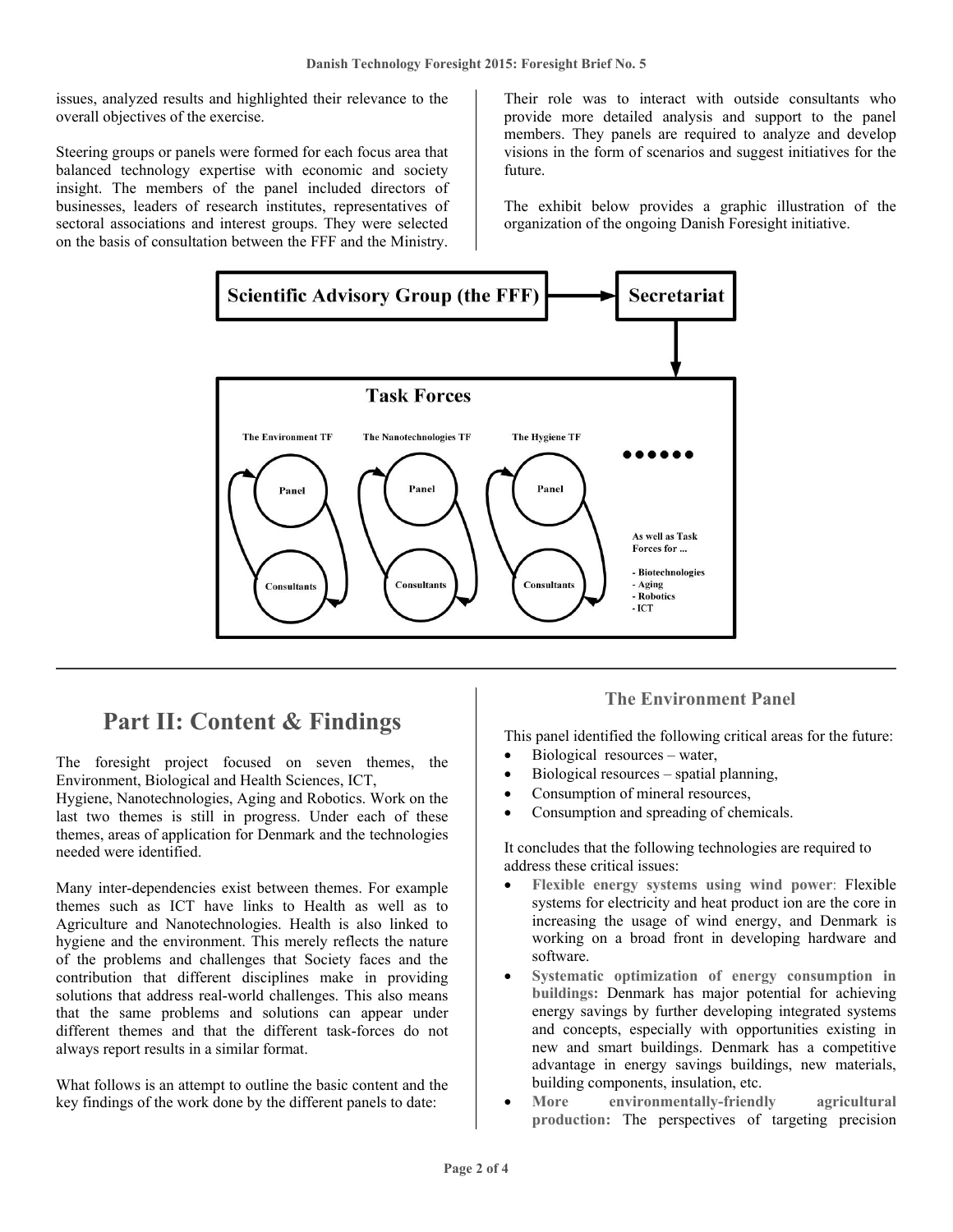issues, analyzed results and highlighted their relevance to the overall objectives of the exercise.

Steering groups or panels were formed for each focus area that balanced technology expertise with economic and society insight. The members of the panel included directors of businesses, leaders of research institutes, representatives of sectoral associations and interest groups. They were selected on the basis of consultation between the FFF and the Ministry.

Their role was to interact with outside consultants who provide more detailed analysis and support to the panel members. They panels are required to analyze and develop visions in the form of scenarios and suggest initiatives for the future.

The exhibit below provides a graphic illustration of the organization of the ongoing Danish Foresight initiative.



# **Part II: Content & Findings**

The foresight project focused on seven themes, the Environment, Biological and Health Sciences, ICT,

Hygiene, Nanotechnologies, Aging and Robotics. Work on the last two themes is still in progress. Under each of these themes, areas of application for Denmark and the technologies needed were identified.

Many inter-dependencies exist between themes. For example themes such as ICT have links to Health as well as to Agriculture and Nanotechnologies. Health is also linked to hygiene and the environment. This merely reflects the nature of the problems and challenges that Society faces and the contribution that different disciplines make in providing solutions that address real-world challenges. This also means that the same problems and solutions can appear under different themes and that the different task-forces do not always report results in a similar format.

What follows is an attempt to outline the basic content and the key findings of the work done by the different panels to date:

# **The Environment Panel**

This panel identified the following critical areas for the future:

- Biological resources water,
- Biological resources spatial planning,
- Consumption of mineral resources,
- Consumption and spreading of chemicals.

It concludes that the following technologies are required to address these critical issues:

- **Flexible energy systems using wind power**: Flexible systems for electricity and heat product ion are the core in increasing the usage of wind energy, and Denmark is working on a broad front in developing hardware and software.
- **Systematic optimization of energy consumption in buildings:** Denmark has major potential for achieving energy savings by further developing integrated systems and concepts, especially with opportunities existing in new and smart buildings. Denmark has a competitive advantage in energy savings buildings, new materials, building components, insulation, etc.
- **More environmentally-friendly agricultural production:** The perspectives of targeting precision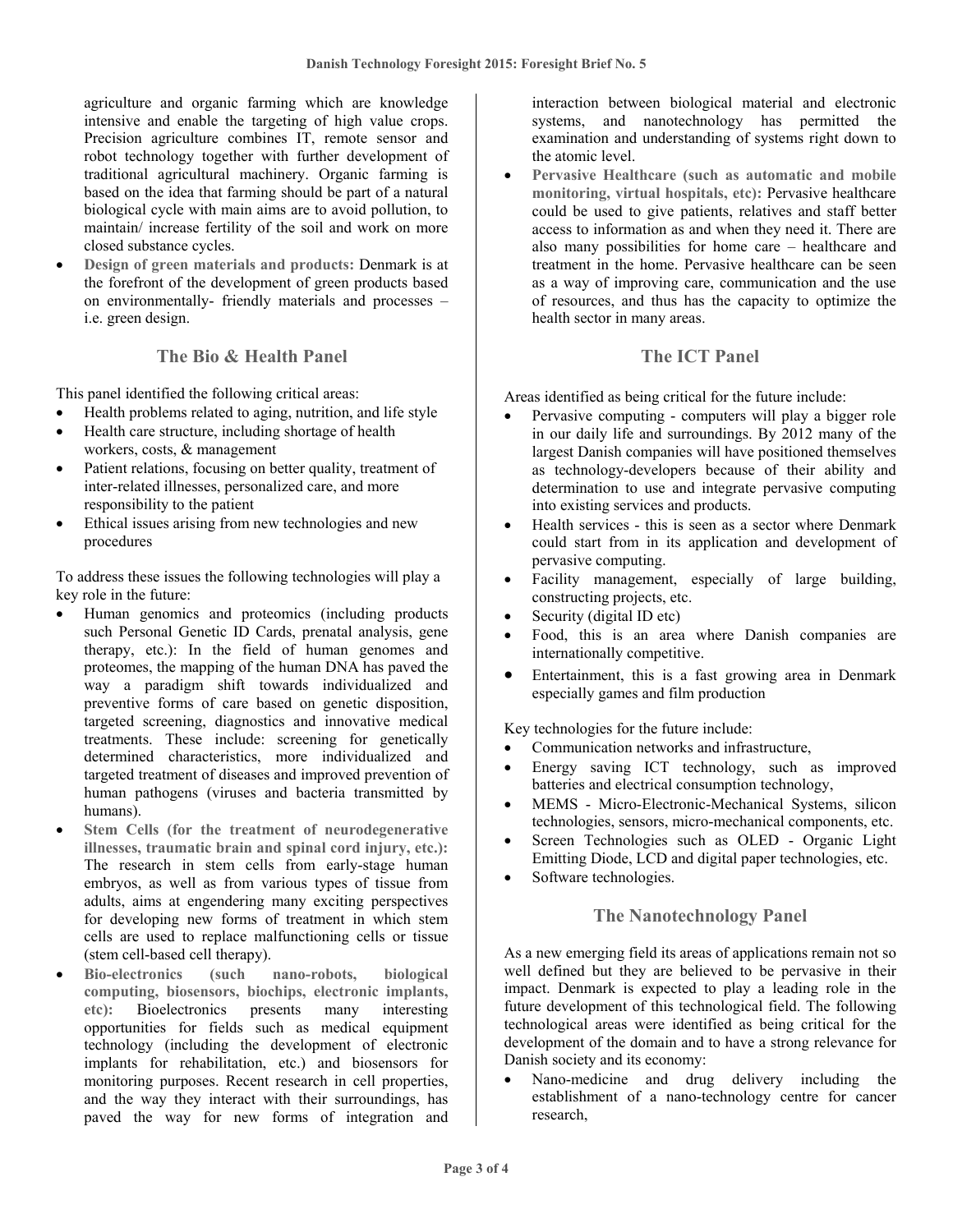agriculture and organic farming which are knowledge intensive and enable the targeting of high value crops. Precision agriculture combines IT, remote sensor and robot technology together with further development of traditional agricultural machinery. Organic farming is based on the idea that farming should be part of a natural biological cycle with main aims are to avoid pollution, to maintain/ increase fertility of the soil and work on more closed substance cycles.

• **Design of green materials and products:** Denmark is at the forefront of the development of green products based on environmentally- friendly materials and processes – i.e. green design.

#### **The Bio & Health Panel**

This panel identified the following critical areas:

- Health problems related to aging, nutrition, and life style
- Health care structure, including shortage of health workers, costs, & management
- Patient relations, focusing on better quality, treatment of inter-related illnesses, personalized care, and more responsibility to the patient
- Ethical issues arising from new technologies and new procedures

To address these issues the following technologies will play a key role in the future:

- Human genomics and proteomics (including products such Personal Genetic ID Cards, prenatal analysis, gene therapy, etc.): In the field of human genomes and proteomes, the mapping of the human DNA has paved the way a paradigm shift towards individualized and preventive forms of care based on genetic disposition, targeted screening, diagnostics and innovative medical treatments. These include: screening for genetically determined characteristics, more individualized and targeted treatment of diseases and improved prevention of human pathogens (viruses and bacteria transmitted by humans).
- **Stem Cells (for the treatment of neurodegenerative illnesses, traumatic brain and spinal cord injury, etc.):** The research in stem cells from early-stage human embryos, as well as from various types of tissue from adults, aims at engendering many exciting perspectives for developing new forms of treatment in which stem cells are used to replace malfunctioning cells or tissue (stem cell-based cell therapy).
- **Bio-electronics (such nano-robots, biological computing, biosensors, biochips, electronic implants, etc):** Bioelectronics presents many interesting opportunities for fields such as medical equipment technology (including the development of electronic implants for rehabilitation, etc.) and biosensors for monitoring purposes. Recent research in cell properties, and the way they interact with their surroundings, has paved the way for new forms of integration and

interaction between biological material and electronic systems, and nanotechnology has permitted the examination and understanding of systems right down to the atomic level.

• **Pervasive Healthcare (such as automatic and mobile monitoring, virtual hospitals, etc):** Pervasive healthcare could be used to give patients, relatives and staff better access to information as and when they need it. There are also many possibilities for home care – healthcare and treatment in the home. Pervasive healthcare can be seen as a way of improving care, communication and the use of resources, and thus has the capacity to optimize the health sector in many areas.

## **The ICT Panel**

Areas identified as being critical for the future include:

- Pervasive computing computers will play a bigger role in our daily life and surroundings. By 2012 many of the largest Danish companies will have positioned themselves as technology-developers because of their ability and determination to use and integrate pervasive computing into existing services and products.
- Health services this is seen as a sector where Denmark could start from in its application and development of pervasive computing.
- Facility management, especially of large building, constructing projects, etc.
- Security (digital ID etc)
- Food, this is an area where Danish companies are internationally competitive.
- Entertainment, this is a fast growing area in Denmark especially games and film production

Key technologies for the future include:

- Communication networks and infrastructure,
- Energy saving ICT technology, such as improved batteries and electrical consumption technology,
- MEMS Micro-Electronic-Mechanical Systems, silicon technologies, sensors, micro-mechanical components, etc.
- Screen Technologies such as OLED Organic Light Emitting Diode, LCD and digital paper technologies, etc.
- Software technologies.

## **The Nanotechnology Panel**

As a new emerging field its areas of applications remain not so well defined but they are believed to be pervasive in their impact. Denmark is expected to play a leading role in the future development of this technological field. The following technological areas were identified as being critical for the development of the domain and to have a strong relevance for Danish society and its economy:

• Nano-medicine and drug delivery including the establishment of a nano-technology centre for cancer research,